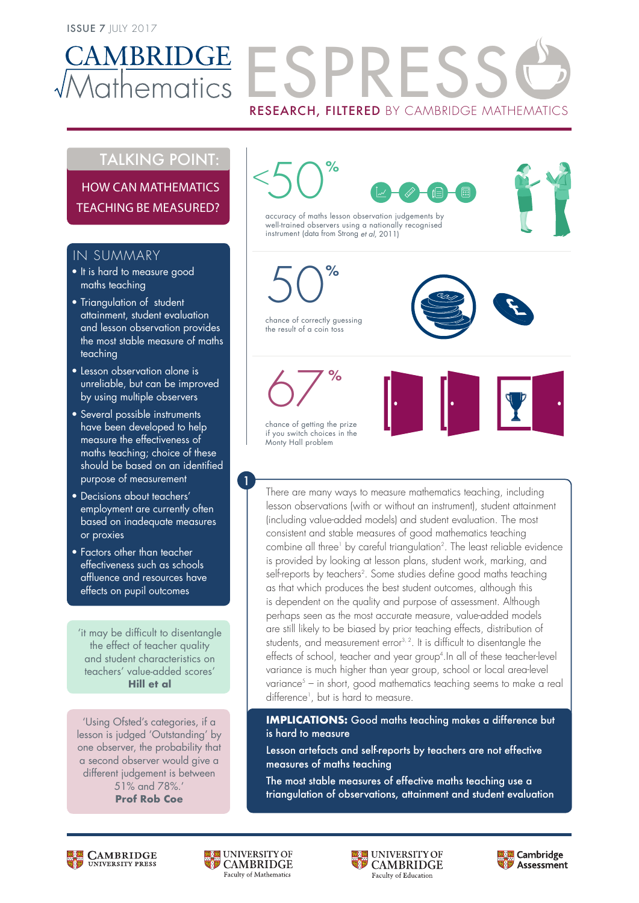

# AMBRIDGE FSPRES RESEARCH, FILTERED BY CAMBRIDGE MATHEMATICS

# TALKING POINT:

HOW CAN MATHEMATICS TEACHING BE MEASURED?

## IN SUMMARY

- It is hard to measure good maths teaching
- Triangulation of student attainment, student evaluation and lesson observation provides the most stable measure of maths teaching
- Lesson observation alone is unreliable, but can be improved by using multiple observers
- Several possible instruments have been developed to help measure the effectiveness of maths teaching; choice of these should be based on an identified purpose of measurement
- Decisions about teachers' employment are currently often based on inadequate measures or proxies
- Factors other than teacher effectiveness such as schools affluence and resources have effects on pupil outcomes

'it may be difficult to disentangle the effect of teacher quality and student characteristics on teachers' value-added scores' **Hill et al**

'Using Ofsted's categories, if a lesson is judged 'Outstanding' by one observer, the probability that a second observer would give a different judgement is between 51% and 78%.' **Prof Rob Coe**



chance of getting the prize if you switch choices in the Monty Hall problem

1

There are many ways to measure mathematics teaching, including lesson observations (with or without an instrument), student attainment (including value-added models) and student evaluation. The most consistent and stable measures of good mathematics teaching combine all three<sup>1</sup> by careful triangulation<sup>2</sup>. The least reliable evidence is provided by looking at lesson plans, student work, marking, and self-reports by teachers<sup>2</sup>. Some studies define good maths teaching as that which produces the best student outcomes, although this is dependent on the quality and purpose of assessment. Although perhaps seen as the most accurate measure, value-added models are still likely to be biased by prior teaching effects, distribution of students, and measurement error $3, 2$ . It is difficult to disentangle the effects of school, teacher and year group4 .In all of these teacher-level variance is much higher than year group, school or local area-level variance<sup>s</sup> – in short, good mathematics teaching seems to make a real difference<sup>1</sup>, but is hard to measure.

**IMPLICATIONS:** Good maths teaching makes a difference but is hard to measure

Lesson artefacts and self-reports by teachers are not effective measures of maths teaching

The most stable measures of effective maths teaching use a triangulation of observations, attainment and student evaluation

![](_page_0_Picture_21.jpeg)

![](_page_0_Picture_22.jpeg)

![](_page_0_Picture_23.jpeg)